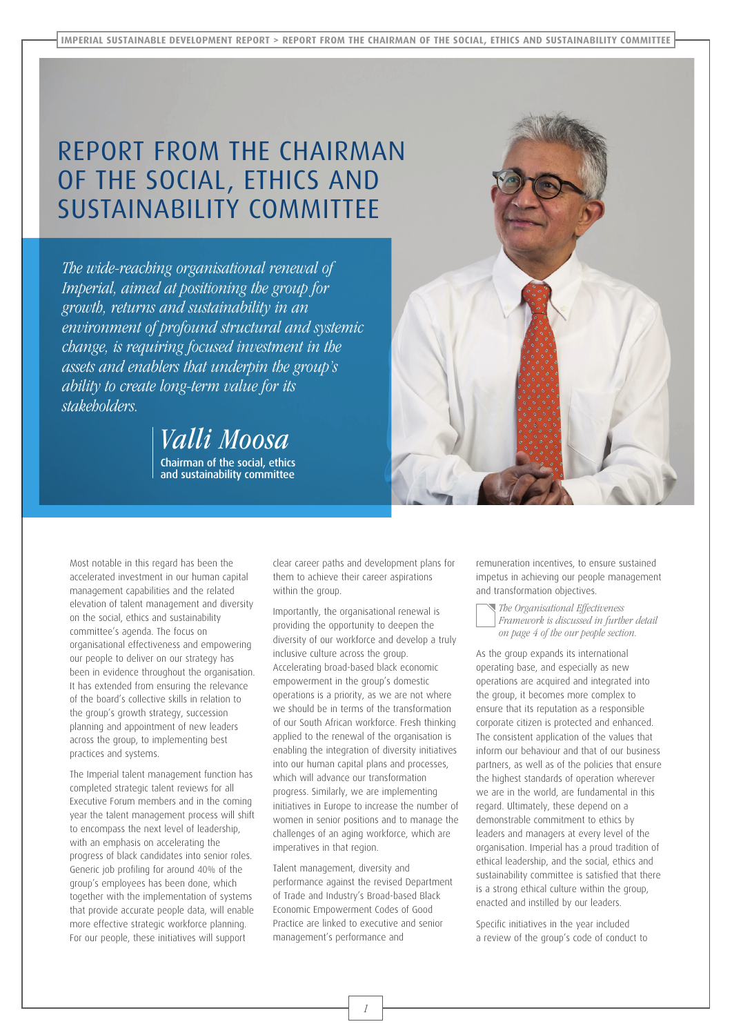## REPORT FROM THE CHAIRMAN OF THE SOCIAL, ETHICS AND SUSTAINABILITY COMMITTEE

*The wide-reaching organisational renewal of Imperial, aimed at positioning the group for growth, returns and sustainability in an environment of profound structural and systemic change, is requiring focused investment in the assets and enablers that underpin the group's ability to create long-term value for its stakeholders.*

> Chairman of the social, ethics and sustainability committee *Valli Moosa*



Most notable in this regard has been the accelerated investment in our human capital management capabilities and the related elevation of talent management and diversity on the social, ethics and sustainability committee's agenda. The focus on organisational effectiveness and empowering our people to deliver on our strategy has been in evidence throughout the organisation. It has extended from ensuring the relevance of the board's collective skills in relation to the group's growth strategy, succession planning and appointment of new leaders across the group, to implementing best practices and systems.

The Imperial talent management function has completed strategic talent reviews for all Executive Forum members and in the coming year the talent management process will shift to encompass the next level of leadership, with an emphasis on accelerating the progress of black candidates into senior roles. Generic job profiling for around 40% of the group's employees has been done, which together with the implementation of systems that provide accurate people data, will enable more effective strategic workforce planning. For our people, these initiatives will support

clear career paths and development plans for them to achieve their career aspirations within the group.

Importantly, the organisational renewal is providing the opportunity to deepen the diversity of our workforce and develop a truly inclusive culture across the group. Accelerating broad-based black economic empowerment in the group's domestic operations is a priority, as we are not where we should be in terms of the transformation of our South African workforce. Fresh thinking applied to the renewal of the organisation is enabling the integration of diversity initiatives into our human capital plans and processes, which will advance our transformation progress. Similarly, we are implementing initiatives in Europe to increase the number of women in senior positions and to manage the challenges of an aging workforce, which are imperatives in that region.

Talent management, diversity and performance against the revised Department of Trade and Industry's Broad-based Black Economic Empowerment Codes of Good Practice are linked to executive and senior management's performance and

remuneration incentives, to ensure sustained impetus in achieving our people management and transformation objectives.

*The Organisational Effectiveness Framework is discussed in further detail on page 4 of the our people section.*

As the group expands its international operating base, and especially as new operations are acquired and integrated into the group, it becomes more complex to ensure that its reputation as a responsible corporate citizen is protected and enhanced. The consistent application of the values that inform our behaviour and that of our business partners, as well as of the policies that ensure the highest standards of operation wherever we are in the world, are fundamental in this regard. Ultimately, these depend on a demonstrable commitment to ethics by leaders and managers at every level of the organisation. Imperial has a proud tradition of ethical leadership, and the social, ethics and sustainability committee is satisfied that there is a strong ethical culture within the group, enacted and instilled by our leaders.

Specific initiatives in the year included a review of the group's code of conduct to